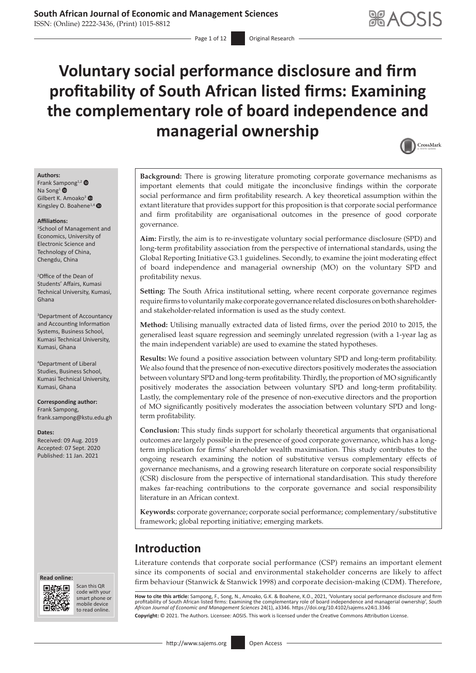ISSN: (Online) 2222-3436, (Print) 1015-8812

 $-$  Page 1 of 12 Original Research

# **Voluntary social performance disclosure and firm profitability of South African listed firms: Examining the complementary role of board independence and managerial ownership**



#### **Authors:**

Frank Sa[mpo](https://orcid.org/0000-0003-4682-178X)ng<sup>1,2</sup> Na Song<sup>1</sup> <sup>®</sup> Gilbert K. Amoako<sup>3</sup>  $\bullet$ Kingsley O. Boahene<sup>1,4</sup>

#### **Affiliations:**

1 School of Management and Economics, University of Electronic Science and Technology of China, Chengdu, China

2 Office of the Dean of Students' Affairs, Kumasi Technical University, Kumasi, Ghana

3 Department of Accountancy and Accounting Information Systems, Business School, Kumasi Technical University, Kumasi, Ghana

4 Department of Liberal Studies, Business School, Kumasi Technical University, Kumasi, Ghana

**Corresponding author:** Frank Sampong, [frank.sampong@kstu.edu.gh](mailto:frank.sampong@kstu.edu.gh)

**Dates:**

Received: 09 Aug. 2019 Accepted: 07 Sept. 2020 Published: 11 Jan. 2021





Scan this QR code with your Scan this QR<br>code with your<br>smart phone or<br>mobile device mobile device to read online. to read online.

**Background:** There is growing literature promoting corporate governance mechanisms as important elements that could mitigate the inconclusive findings within the corporate social performance and firm profitability research. A key theoretical assumption within the extant literature that provides support for this proposition is that corporate social performance and firm profitability are organisational outcomes in the presence of good corporate governance.

**Aim:** Firstly, the aim is to re-investigate voluntary social performance disclosure (SPD) and long-term profitability association from the perspective of international standards, using the Global Reporting Initiative G3.1 guidelines. Secondly, to examine the joint moderating effect of board independence and managerial ownership (MO) on the voluntary SPD and profitability nexus.

**Setting:** The South Africa institutional setting, where recent corporate governance regimes require firms to voluntarily make corporate governance related disclosures on both shareholderand stakeholder-related information is used as the study context.

**Method:** Utilising manually extracted data of listed firms, over the period 2010 to 2015, the generalised least square regression and seemingly unrelated regression (with a 1-year lag as the main independent variable) are used to examine the stated hypotheses.

**Results:** We found a positive association between voluntary SPD and long-term profitability. We also found that the presence of non-executive directors positively moderates the association between voluntary SPD and long-term profitability. Thirdly, the proportion of MO significantly positively moderates the association between voluntary SPD and long-term profitability. Lastly, the complementary role of the presence of non-executive directors and the proportion of MO significantly positively moderates the association between voluntary SPD and longterm profitability.

**Conclusion:** This study finds support for scholarly theoretical arguments that organisational outcomes are largely possible in the presence of good corporate governance, which has a longterm implication for firms' shareholder wealth maximisation. This study contributes to the ongoing research examining the notion of substitutive versus complementary effects of governance mechanisms, and a growing research literature on corporate social responsibility (CSR) disclosure from the perspective of international standardisation. This study therefore makes far-reaching contributions to the corporate governance and social responsibility literature in an African context.

**Keywords:** corporate governance; corporate social performance; complementary/substitutive framework; global reporting initiative; emerging markets.

# **Introduction**

Literature contends that corporate social performance (CSP) remains an important element since its components of social and environmental stakeholder concerns are likely to affect firm behaviour (Stanwick & Stanwick 1998) and corporate decision-making (CDM). Therefore,

**How to cite this article:** Sampong, F., Song, N., Amoako, G.K. & Boahene, K.O., 2021, 'Voluntary social performance disclosure and firm profitability of South African listed firms: Examining the complementary role of board independence and managerial ownership', *South*<br>African Journal of Economic and Management Sciences 24(1), a3346. https://doi.org/10.41 **Copyright:** © 2021. The Authors. Licensee: AOSIS. This work is licensed under the Creative Commons Attribution License.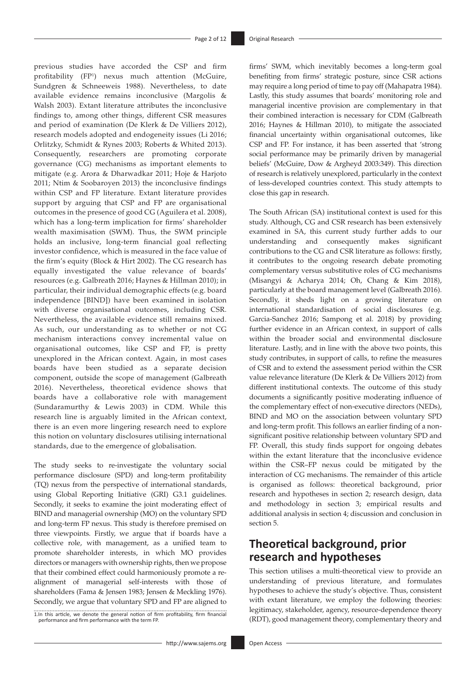previous studies have accorded the CSP and firm profitability (FP1 ) nexus much attention (McGuire, Sundgren & Schneeweis 1988). Nevertheless, to date available evidence remains inconclusive (Margolis & Walsh 2003). Extant literature attributes the inconclusive findings to, among other things, different CSR measures and period of examination (De Klerk & De Villiers 2012), research models adopted and endogeneity issues (Li 2016; Orlitzky, Schmidt & Rynes 2003; Roberts & Whited 2013). Consequently, researchers are promoting corporate governance (CG) mechanisms as important elements to mitigate (e.g. Arora & Dharwadkar 2011; Hoje & Harjoto 2011; Ntim & Soobaroyen 2013) the inconclusive findings within CSP and FP literature. Extant literature provides support by arguing that CSP and FP are organisational outcomes in the presence of good CG (Aguilera et al. 2008), which has a long-term implication for firms' shareholder wealth maximisation (SWM). Thus, the SWM principle holds an inclusive, long-term financial goal reflecting investor confidence, which is measured in the face value of the firm's equity (Block & Hirt 2002). The CG research has equally investigated the value relevance of boards' resources (e.g. Galbreath 2016; Haynes & Hillman 2010); in particular, their individual demographic effects (e.g. board independence [BIND]) have been examined in isolation with diverse organisational outcomes, including CSR. Nevertheless, the available evidence still remains mixed. As such, our understanding as to whether or not CG mechanism interactions convey incremental value on organisational outcomes, like CSP and FP, is pretty unexplored in the African context. Again, in most cases boards have been studied as a separate decision component, outside the scope of management (Galbreath 2016). Nevertheless, theoretical evidence shows that boards have a collaborative role with management (Sundaramurthy & Lewis 2003) in CDM. While this research line is arguably limited in the African context, there is an even more lingering research need to explore this notion on voluntary disclosures utilising international standards, due to the emergence of globalisation.

The study seeks to re-investigate the voluntary social performance disclosure (SPD) and long-term profitability (TQ) nexus from the perspective of international standards, using Global Reporting Initiative (GRI) G3.1 guidelines. Secondly, it seeks to examine the joint moderating effect of BIND and managerial ownership (MO) on the voluntary SPD and long-term FP nexus. This study is therefore premised on three viewpoints. Firstly, we argue that if boards have a collective role, with management, as a unified team to promote shareholder interests, in which MO provides directors or managers with ownership rights, then we propose that their combined effect could harmoniously promote a realignment of managerial self-interests with those of shareholders (Fama & Jensen 1983; Jensen & Meckling 1976). Secondly, we argue that voluntary SPD and FP are aligned to

1.In this article, we denote the general notion of firm profitability, firm financial performance and firm performance with the term FP.

firms' SWM, which inevitably becomes a long-term goal benefiting from firms' strategic posture, since CSR actions may require a long period of time to pay off (Mahapatra 1984). Lastly, this study assumes that boards' monitoring role and managerial incentive provision are complementary in that their combined interaction is necessary for CDM (Galbreath 2016; Haynes & Hillman 2010), to mitigate the associated financial uncertainty within organisational outcomes, like CSP and FP. For instance, it has been asserted that 'strong social performance may be primarily driven by managerial beliefs' (McGuire, Dow & Argheyd 2003:349). This direction of research is relatively unexplored, particularly in the context of less-developed countries context. This study attempts to close this gap in research.

The South African (SA) institutional context is used for this study. Although, CG and CSR research has been extensively examined in SA, this current study further adds to our understanding and consequently makes significant contributions to the CG and CSR literature as follows: firstly, it contributes to the ongoing research debate promoting complementary versus substitutive roles of CG mechanisms (Misangyi & Acharya 2014; Oh, Chang & Kim 2018), particularly at the board management level (Galbreath 2016). Secondly, it sheds light on a growing literature on international standardisation of social disclosures (e.g. Garcia-Sanchez 2016; Sampong et al. 2018) by providing further evidence in an African context, in support of calls within the broader social and environmental disclosure literature. Lastly, and in line with the above two points, this study contributes, in support of calls, to refine the measures of CSR and to extend the assessment period within the CSR value relevance literature (De Klerk & De Villiers 2012) from different institutional contexts. The outcome of this study documents a significantly positive moderating influence of the complementary effect of non-executive directors (NEDs), BIND and MO on the association between voluntary SPD and long-term profit. This follows an earlier finding of a nonsignificant positive relationship between voluntary SPD and FP. Overall, this study finds support for ongoing debates within the extant literature that the inconclusive evidence within the CSR–FP nexus could be mitigated by the interaction of CG mechanisms. The remainder of this article is organised as follows: theoretical background, prior research and hypotheses in section 2; research design, data and methodology in section 3; empirical results and additional analysis in section 4; discussion and conclusion in section 5.

# **Theoretical background, prior research and hypotheses**

This section utilises a multi-theoretical view to provide an understanding of previous literature, and formulates hypotheses to achieve the study's objective. Thus, consistent with extant literature, we employ the following theories: legitimacy, stakeholder, agency, resource-dependence theory (RDT), good management theory, complementary theory and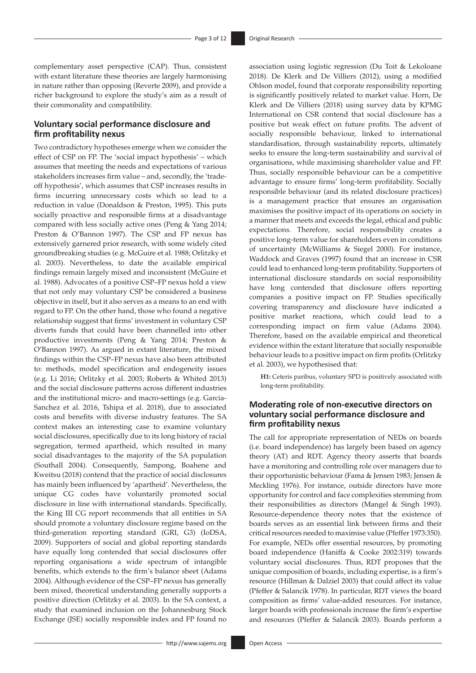complementary asset perspective (CAP). Thus, consistent with extant literature these theories are largely harmonising in nature rather than opposing (Reverte 2009), and provide a richer background to explore the study's aim as a result of their commonality and compatibility.

### **Voluntary social performance disclosure and firm profitability nexus**

Two contradictory hypotheses emerge when we consider the effect of CSP on FP. The 'social impact hypothesis' – which assumes that meeting the needs and expectations of various stakeholders increases firm value – and, secondly, the 'tradeoff hypothesis', which assumes that CSP increases results in firms incurring unnecessary costs which so lead to a reduction in value (Donaldson & Preston, 1995). This puts socially proactive and responsible firms at a disadvantage compared with less socially active ones (Peng & Yang 2014; Preston & O'Bannon 1997). The CSP and FP nexus has extensively garnered prior research, with some widely cited groundbreaking studies (e.g. McGuire et al. 1988; Orlitzky et al. 2003). Nevertheless, to date the available empirical findings remain largely mixed and inconsistent (McGuire et al. 1988). Advocates of a positive CSP–FP nexus hold a view that not only may voluntary CSP be considered a business objective in itself, but it also serves as a means to an end with regard to FP. On the other hand, those who found a negative relationship suggest that firms' investment in voluntary CSP diverts funds that could have been channelled into other productive investments (Peng & Yang 2014; Preston & O'Bannon 1997). As argued in extant literature, the mixed findings within the CSP–FP nexus have also been attributed to: methods, model specification and endogeneity issues (e.g. Li 2016; Orlitzky et al. 2003; Roberts & Whited 2013) and the social disclosure patterns across different industries and the institutional micro- and macro-settings (e.g. Garcia-Sanchez et al. 2016, Tshipa et al. 2018), due to associated costs and benefits with diverse industry features. The SA context makes an interesting case to examine voluntary social disclosures, specifically due to its long history of racial segregation, termed apartheid, which resulted in many social disadvantages to the majority of the SA population (Southall 2004). Consequently, Sampong, Boahene and Kweitsu (2018) contend that the practice of social disclosures has mainly been influenced by 'apartheid'. Nevertheless, the unique CG codes have voluntarily promoted social disclosure in line with international standards. Specifically, the King III CG report recommends that all entities in SA should promote a voluntary disclosure regime based on the third-generation reporting standard (GRI, G3) (IoDSA, 2009). Supporters of social and global reporting standards have equally long contended that social disclosures offer reporting organisations a wide spectrum of intangible benefits, which extends to the firm's balance sheet (Adams 2004). Although evidence of the CSP–FP nexus has generally been mixed, theoretical understanding generally supports a positive direction (Orlitzky et al. 2003). In the SA context, a study that examined inclusion on the Johannesburg Stock Exchange (JSE) socially responsible index and FP found no

association using logistic regression (Du Toit & Lekoloane 2018). De Klerk and De Villiers (2012), using a modified Ohlson model, found that corporate responsibility reporting is significantly positively related to market value. Horn, De Klerk and De Villiers (2018) using survey data by KPMG International on CSR contend that social disclosure has a positive but weak effect on future profits. The advent of socially responsible behaviour, linked to international standardisation, through sustainability reports, ultimately seeks to ensure the long-term sustainability and survival of organisations, while maximising shareholder value and FP. Thus, socially responsible behaviour can be a competitive advantage to ensure firms' long-term profitability. Socially responsible behaviour (and its related disclosure practices) is a management practice that ensures an organisation maximises the positive impact of its operations on society in a manner that meets and exceeds the legal, ethical and public expectations. Therefore, social responsibility creates a positive long-term value for shareholders even in conditions of uncertainty (McWilliams & Siegel 2000). For instance, Waddock and Graves (1997) found that an increase in CSR could lead to enhanced long-term profitability. Supporters of international disclosure standards on social responsibility have long contended that disclosure offers reporting companies a positive impact on FP. Studies specifically covering transparency and disclosure have indicated a positive market reactions, which could lead to a corresponding impact on firm value (Adams 2004). Therefore, based on the available empirical and theoretical evidence within the extant literature that socially responsible behaviour leads to a positive impact on firm profits (Orlitzky et al. 2003), we hypothesised that:

**H1:** Ceteris paribus, voluntary SPD is positively associated with long-term profitability.

### **Moderating role of non-executive directors on voluntary social performance disclosure and firm profitability nexus**

The call for appropriate representation of NEDs on boards (i.e. board independence) has largely been based on agency theory (AT) and RDT. Agency theory asserts that boards have a monitoring and controlling role over managers due to their opportunistic behaviour (Fama & Jensen 1983; Jensen & Meckling 1976). For instance, outside directors have more opportunity for control and face complexities stemming from their responsibilities as directors (Mangel & Singh 1993). Resource-dependence theory notes that the existence of boards serves as an essential link between firms and their critical resources needed to maximise value (Pfeffer 1973:350). For example, NEDs offer essential resources, by promoting board independence (Haniffa & Cooke 2002:319) towards voluntary social disclosures. Thus, RDT proposes that the unique composition of boards, including expertise, is a firm's resource (Hillman & Dalziel 2003) that could affect its value (Pfeffer & Salancik 1978). In particular, RDT views the board composition as firms' value-added resources. For instance, larger boards with professionals increase the firm's expertise and resources (Pfeffer & Salancik 2003). Boards perform a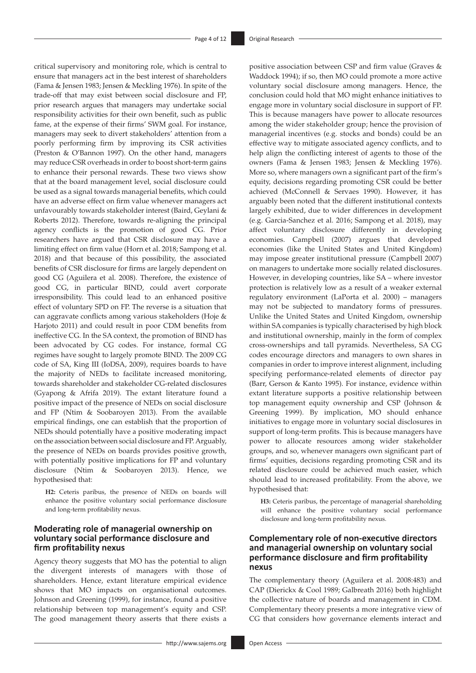critical supervisory and monitoring role, which is central to ensure that managers act in the best interest of shareholders (Fama & Jensen 1983; Jensen & Meckling 1976). In spite of the trade-off that may exist between social disclosure and FP, prior research argues that managers may undertake social responsibility activities for their own benefit, such as public fame, at the expense of their firms' SWM goal. For instance, managers may seek to divert stakeholders' attention from a poorly performing firm by improving its CSR activities (Preston & O'Bannon 1997). On the other hand, managers may reduce CSR overheads in order to boost short-term gains to enhance their personal rewards. These two views show that at the board management level, social disclosure could be used as a signal towards managerial benefits, which could have an adverse effect on firm value whenever managers act unfavourably towards stakeholder interest (Baird, Geylani & Roberts 2012). Therefore, towards re-aligning the principal agency conflicts is the promotion of good CG. Prior researchers have argued that CSR disclosure may have a limiting effect on firm value (Horn et al. 2018; Sampong et al. 2018) and that because of this possibility, the associated benefits of CSR disclosure for firms are largely dependent on good CG (Aguilera et al. 2008). Therefore, the existence of good CG, in particular BIND, could avert corporate irresponsibility. This could lead to an enhanced positive effect of voluntary SPD on FP. The reverse is a situation that can aggravate conflicts among various stakeholders (Hoje & Harjoto 2011) and could result in poor CDM benefits from ineffective CG. In the SA context, the promotion of BIND has been advocated by CG codes. For instance, formal CG regimes have sought to largely promote BIND. The 2009 CG code of SA, King III (IoDSA, 2009), requires boards to have the majority of NEDs to facilitate increased monitoring, towards shareholder and stakeholder CG-related disclosures (Gyapong & Afrifa 2019). The extant literature found a positive impact of the presence of NEDs on social disclosure and FP (Ntim & Soobaroyen 2013). From the available empirical findings, one can establish that the proportion of NEDs should potentially have a positive moderating impact on the association between social disclosure and FP. Arguably, the presence of NEDs on boards provides positive growth, with potentially positive implications for FP and voluntary disclosure (Ntim & Soobaroyen 2013). Hence, we hypothesised that:

**H2:** Ceteris paribus, the presence of NEDs on boards will enhance the positive voluntary social performance disclosure and long-term profitability nexus.

### **Moderating role of managerial ownership on voluntary social performance disclosure and firm profitability nexus**

Agency theory suggests that MO has the potential to align the divergent interests of managers with those of shareholders. Hence, extant literature empirical evidence shows that MO impacts on organisational outcomes. Johnson and Greening (1999), for instance, found a positive relationship between top management's equity and CSP. The good management theory asserts that there exists a positive association between CSP and firm value (Graves & Waddock 1994); if so, then MO could promote a more active voluntary social disclosure among managers. Hence, the conclusion could hold that MO might enhance initiatives to engage more in voluntary social disclosure in support of FP. This is because managers have power to allocate resources among the wider stakeholder group; hence the provision of managerial incentives (e.g. stocks and bonds) could be an effective way to mitigate associated agency conflicts, and to help align the conflicting interest of agents to those of the owners (Fama & Jensen 1983; Jensen & Meckling 1976). More so, where managers own a significant part of the firm's equity, decisions regarding promoting CSR could be better achieved (McConnell & Servaes 1990). However, it has arguably been noted that the different institutional contexts largely exhibited, due to wider differences in development (e.g. Garcia-Sanchez et al. 2016; Sampong et al. 2018), may affect voluntary disclosure differently in developing economies. Campbell (2007) argues that developed economies (like the United States and United Kingdom) may impose greater institutional pressure (Campbell 2007) on managers to undertake more socially related disclosures. However, in developing countries, like SA – where investor protection is relatively low as a result of a weaker external regulatory environment (LaPorta et al. 2000) – managers may not be subjected to mandatory forms of pressures. Unlike the United States and United Kingdom, ownership within SA companies is typically characterised by high block and institutional ownership, mainly in the form of complex cross-ownerships and tall pyramids. Nevertheless, SA CG codes encourage directors and managers to own shares in companies in order to improve interest alignment, including specifying performance-related elements of director pay (Barr, Gerson & Kanto 1995). For instance, evidence within extant literature supports a positive relationship between top management equity ownership and CSP (Johnson & Greening 1999). By implication, MO should enhance initiatives to engage more in voluntary social disclosures in support of long-term profits. This is because managers have power to allocate resources among wider stakeholder groups, and so, whenever managers own significant part of firms' equities, decisions regarding promoting CSR and its related disclosure could be achieved much easier, which should lead to increased profitability. From the above, we hypothesised that:

**H3:** Ceteris paribus, the percentage of managerial shareholding will enhance the positive voluntary social performance disclosure and long-term profitability nexus.

### **Complementary role of non-executive directors and managerial ownership on voluntary social performance disclosure and firm profitability nexus**

The complementary theory (Aguilera et al. 2008:483) and CAP (Dierickx & Cool 1989; Galbreath 2016) both highlight the collective nature of boards and management in CDM. Complementary theory presents a more integrative view of CG that considers how governance elements interact and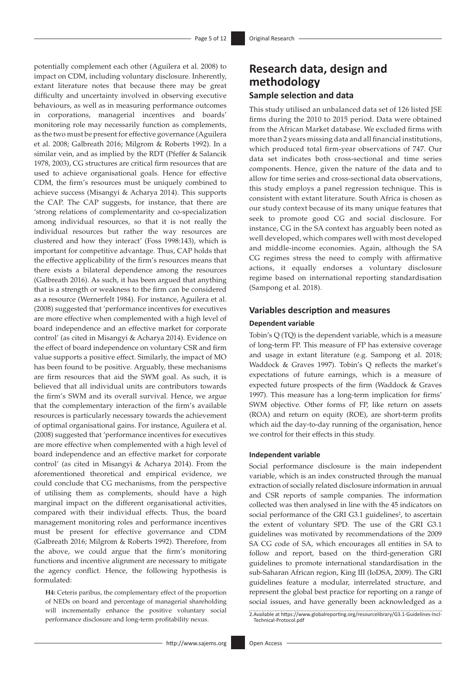potentially complement each other (Aguilera et al. 2008) to impact on CDM, including voluntary disclosure. Inherently, extant literature notes that because there may be great difficulty and uncertainty involved in observing executive behaviours, as well as in measuring performance outcomes in corporations, managerial incentives and boards' monitoring role may necessarily function as complements, as the two must be present for effective governance (Aguilera et al. 2008; Galbreath 2016; Milgrom & Roberts 1992). In a similar vein, and as implied by the RDT (Pfeffer & Salancik 1978, 2003), CG structures are critical firm resources that are used to achieve organisational goals. Hence for effective CDM, the firm's resources must be uniquely combined to achieve success (Misangyi & Acharya 2014). This supports the CAP. The CAP suggests, for instance, that there are 'strong relations of complementarity and co-specialization among individual resources, so that it is not really the individual resources but rather the way resources are clustered and how they interact' (Foss 1998:143), which is important for competitive advantage. Thus, CAP holds that the effective applicability of the firm's resources means that there exists a bilateral dependence among the resources (Galbreath 2016). As such, it has been argued that anything that is a strength or weakness to the firm can be considered as a resource (Wernerfelt 1984). For instance, Aguilera et al. (2008) suggested that 'performance incentives for executives are more effective when complemented with a high level of board independence and an effective market for corporate control' (as cited in Misangyi & Acharya 2014). Evidence on the effect of board independence on voluntary CSR and firm value supports a positive effect. Similarly, the impact of MO has been found to be positive. Arguably, these mechanisms are firm resources that aid the SWM goal. As such, it is believed that all individual units are contributors towards the firm's SWM and its overall survival. Hence, we argue that the complementary interaction of the firm's available resources is particularly necessary towards the achievement of optimal organisational gains. For instance, Aguilera et al. (2008) suggested that 'performance incentives for executives are more effective when complemented with a high level of board independence and an effective market for corporate control' (as cited in Misangyi & Acharya 2014). From the aforementioned theoretical and empirical evidence, we could conclude that CG mechanisms, from the perspective of utilising them as complements, should have a high marginal impact on the different organisational activities, compared with their individual effects. Thus, the board management monitoring roles and performance incentives must be present for effective governance and CDM (Galbreath 2016; Milgrom & Roberts 1992). Therefore, from the above, we could argue that the firm's monitoring functions and incentive alignment are necessary to mitigate the agency conflict. Hence, the following hypothesis is formulated:

**H4:** Ceteris paribus, the complementary effect of the proportion of NEDs on board and percentage of managerial shareholding will incrementally enhance the positive voluntary social performance disclosure and long-term profitability nexus.

# **Research data, design and methodology Sample selection and data**

This study utilised an unbalanced data set of 126 listed JSE firms during the 2010 to 2015 period. Data were obtained from the African Market database. We excluded firms with more than 2 years missing data and all financial institutions, which produced total firm-year observations of 747. Our data set indicates both cross-sectional and time series components. Hence, given the nature of the data and to allow for time series and cross-sectional data observations, this study employs a panel regression technique. This is consistent with extant literature. South Africa is chosen as our study context because of its many unique features that seek to promote good CG and social disclosure. For instance, CG in the SA context has arguably been noted as well developed, which compares well with most developed and middle-income economies. Again, although the SA CG regimes stress the need to comply with affirmative actions, it equally endorses a voluntary disclosure regime based on international reporting standardisation (Sampong et al. 2018).

### **Variables description and measures**

#### **Dependent variable**

Tobin's Q (TQ) is the dependent variable, which is a measure of long-term FP. This measure of FP has extensive coverage and usage in extant literature (e.g. Sampong et al. 2018; Waddock & Graves 1997). Tobin's Q reflects the market's expectations of future earnings, which is a measure of expected future prospects of the firm (Waddock & Graves 1997). This measure has a long-term implication for firms' SWM objective. Other forms of FP, like return on assets (ROA) and return on equity (ROE), are short-term profits which aid the day-to-day running of the organisation, hence we control for their effects in this study.

#### **Independent variable**

Social performance disclosure is the main independent variable, which is an index constructed through the manual extraction of socially related disclosure information in annual and CSR reports of sample companies. The information collected was then analysed in line with the 45 indicators on social performance of the GRI G3.1 guidelines<sup>2</sup>, to ascertain the extent of voluntary SPD. The use of the GRI G3.1 guidelines was motivated by recommendations of the 2009 SA CG code of SA, which encourages all entities in SA to follow and report, based on the third-generation GRI guidelines to promote international standardisation in the sub-Saharan African region, King III (IoDSA, 2009). The GRI guidelines feature a modular, interrelated structure, and represent the global best practice for reporting on a range of social issues, and have generally been acknowledged as a

<sup>2.</sup>Available at [https://www.globalreporting.org/resourcelibrary/G3.1-Guidelines-Incl-](https://www.globalreporting.org/resourcelibrary/G3.1-Guidelines-Incl-Technical-Protocol.pdf)[Technical-Protocol.pdf](https://www.globalreporting.org/resourcelibrary/G3.1-Guidelines-Incl-Technical-Protocol.pdf)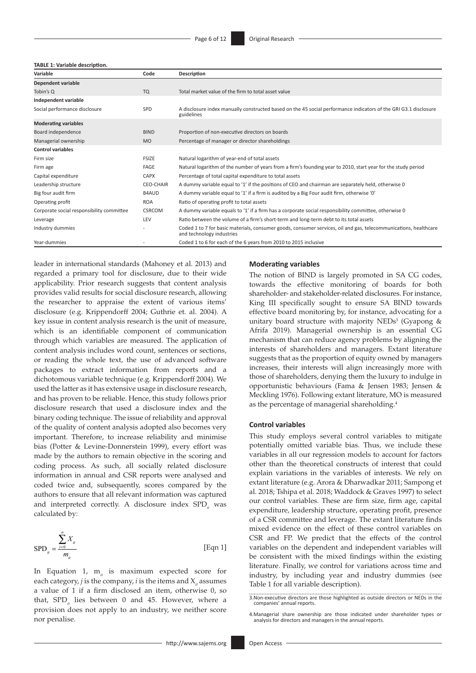#### **TABLE 1: Variable description.**

| Variable                                  | Code             | Description                                                                                                                                   |
|-------------------------------------------|------------------|-----------------------------------------------------------------------------------------------------------------------------------------------|
| Dependent variable                        |                  |                                                                                                                                               |
| Tobin's Q                                 | <b>TQ</b>        | Total market value of the firm to total asset value                                                                                           |
| Independent variable                      |                  |                                                                                                                                               |
| Social performance disclosure             | SPD              | A disclosure index manually constructed based on the 45 social performance indicators of the GRI G3.1 disclosure<br>guidelines                |
| <b>Moderating variables</b>               |                  |                                                                                                                                               |
| Board independence                        | <b>BIND</b>      | Proportion of non-executive directors on boards                                                                                               |
| Managerial ownership                      | <b>MO</b>        | Percentage of manager or director shareholdings                                                                                               |
| <b>Control variables</b>                  |                  |                                                                                                                                               |
| Firm size                                 | <b>FSIZE</b>     | Natural logarithm of year-end of total assets                                                                                                 |
| Firm age                                  | FAGE             | Natural logarithm of the number of years from a firm's founding year to 2010, start year for the study period                                 |
| Capital expenditure                       | <b>CAPX</b>      | Percentage of total capital expenditure to total assets                                                                                       |
| Leadership structure                      | <b>CEO-CHAIR</b> | A dummy variable equal to '1' if the positions of CEO and chairman are separately held, otherwise 0                                           |
| Big four audit firm                       | <b>B4AUD</b>     | A dummy variable equal to '1' if a firm is audited by a Big Four audit firm, otherwise '0'                                                    |
| Operating profit                          | <b>ROA</b>       | Ratio of operating profit to total assets                                                                                                     |
| Corporate social responsibility committee | <b>CSRCOM</b>    | A dummy variable equals to '1' if a firm has a corporate social responsibility committee, otherwise 0                                         |
| Leverage                                  | LEV              | Ratio between the volume of a firm's short-term and long-term debt to its total assets                                                        |
| Industry dummies                          |                  | Coded 1 to 7 for basic materials, consumer goods, consumer services, oil and gas, telecommunications, healthcare<br>and technology industries |
| Year-dummies                              |                  | Coded 1 to 6 for each of the 6 years from 2010 to 2015 inclusive                                                                              |

leader in international standards (Mahoney et al. 2013) and regarded a primary tool for disclosure, due to their wide applicability. Prior research suggests that content analysis provides valid results for social disclosure research, allowing the researcher to appraise the extent of various items' disclosure (e.g. Krippendorff 2004; Guthrie et. al. 2004). A key issue in content analysis research is the unit of measure, which is an identifiable component of communication through which variables are measured. The application of content analysis includes word count, sentences or sections, or reading the whole text, the use of advanced software packages to extract information from reports and a dichotomous variable technique (e.g. Krippendorff 2004). We used the latter as it has extensive usage in disclosure research, and has proven to be reliable. Hence, this study follows prior disclosure research that used a disclosure index and the binary coding technique. The issue of reliability and approval of the quality of content analysis adopted also becomes very important. Therefore, to increase reliability and minimise bias (Potter & Levine-Donnerstein 1999), every effort was made by the authors to remain objective in the scoring and coding process. As such, all socially related disclosure information in annual and CSR reports were analysed and coded twice and, subsequently, scores compared by the authors to ensure that all relevant information was captured and interpreted correctly. A disclosure index SPD<sub>it</sub> was calculated by:

$$
SPD_{u} = \frac{\sum_{i=0}^{n} X_{u}}{m_{u}}
$$
 [Eqn 1]

In Equation 1, m<sub>it</sub> is maximum expected score for each category, *j* is the company, *i* is the items and X<sub>*i*</sub> assumes a value of 1 if a firm disclosed an item, otherwise 0, so that, SPD<sub>i</sub> lies between 0 and 45. However, where a provision does not apply to an industry, we neither score nor penalise.

#### **Moderating variables**

The notion of BIND is largely promoted in SA CG codes, towards the effective monitoring of boards for both shareholder- and stakeholder-related disclosures. For instance, King III specifically sought to ensure SA BIND towards effective board monitoring by, for instance, advocating for a unitary board structure with majority NEDs<sup>3</sup> (Gyapong  $\&$ Afrifa 2019). Managerial ownership is an essential CG mechanism that can reduce agency problems by aligning the interests of shareholders and managers. Extant literature suggests that as the proportion of equity owned by managers increases, their interests will align increasingly more with those of shareholders, denying them the luxury to indulge in opportunistic behaviours (Fama & Jensen 1983; Jensen & Meckling 1976). Following extant literature, MO is measured as the percentage of managerial shareholding.<sup>4</sup>

#### **Control variables**

This study employs several control variables to mitigate potentially omitted variable bias. Thus, we include these variables in all our regression models to account for factors other than the theoretical constructs of interest that could explain variations in the variables of interests. We rely on extant literature (e.g. Arora & Dharwadkar 2011; Sampong et al. 2018; Tshipa et al. 2018; Waddock & Graves 1997) to select our control variables. These are firm size, firm age, capital expenditure, leadership structure, operating profit, presence of a CSR committee and leverage. The extant literature finds mixed evidence on the effect of these control variables on CSR and FP. We predict that the effects of the control variables on the dependent and independent variables will be consistent with the mixed findings within the existing literature. Finally, we control for variations across time and industry, by including year and industry dummies (see Table 1 for all variable description).

<sup>3</sup>.Non-executive directors are those highlighted as outside directors or NEDs in the companies' annual reports.

<sup>4.</sup>Managerial share ownership are those indicated under shareholder types or analysis for directors and managers in the annual reports.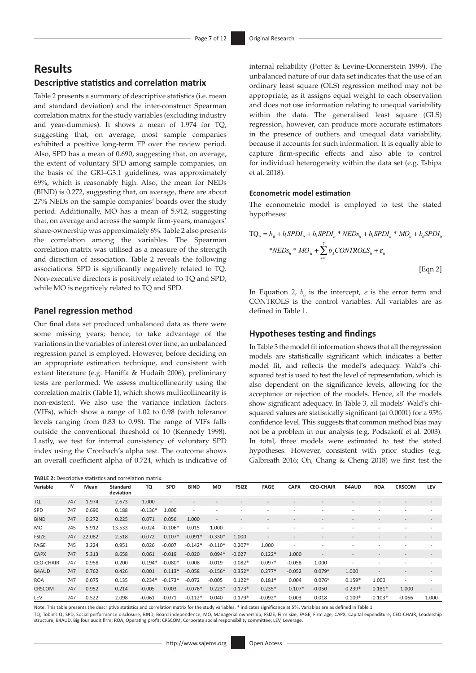# **Results**

### **Descriptive statistics and correlation matrix**

Table 2 presents a summary of descriptive statistics (i.e. mean and standard deviation) and the inter-construct Spearman correlation matrix for the study variables (excluding industry and year-dummies). It shows a mean of 1.974 for TQ, suggesting that, on average, most sample companies exhibited a positive long-term FP over the review period. Also, SPD has a mean of 0.690, suggesting that, on average, the extent of voluntary SPD among sample companies, on the basis of the GRI–G3.1 guidelines, was approximately 69%, which is reasonably high. Also, the mean for NEDs (BIND) is 0.272, suggesting that, on average, there are about 27% NEDs on the sample companies' boards over the study period. Additionally, MO has a mean of 5.912, suggesting that, on average and across the sample firm-years, managers' share-ownership was approximately 6%. Table 2 also presents the correlation among the variables. The Spearman correlation matrix was utilised as a measure of the strength and direction of association. Table 2 reveals the following associations: SPD is significantly negatively related to TQ. Non-executive directors is positively related to TQ and SPD, while MO is negatively related to TQ and SPD.

### **Panel regression method**

Our final data set produced unbalanced data as there were some missing years; hence, to take advantage of the variations in the variables of interest over time, an unbalanced regression panel is employed. However, before deciding on an appropriate estimation technique, and consistent with extant literature (e.g. Haniffa & Hudaib 2006), preliminary tests are performed. We assess multicollinearity using the correlation matrix (Table 1), which shows multicollinearity is non-existent. We also use the variance inflation factors (VIFs), which show a range of 1.02 to 0.98 (with tolerance levels ranging from 0.83 to 0.98). The range of VIFs falls outside the conventional threshold of 10 (Kennedy 1998). Lastly, we test for internal consistency of voluntary SPD index using the Cronbach's alpha test. The outcome shows an overall coefficient alpha of 0.724, which is indicative of

| TABLE 2: Descriptive statistics and correlation matrix. |  |
|---------------------------------------------------------|--|
|---------------------------------------------------------|--|

internal reliability (Potter & Levine-Donnerstein 1999). The unbalanced nature of our data set indicates that the use of an ordinary least square (OLS) regression method may not be appropriate, as it assigns equal weight to each observation and does not use information relating to unequal variability within the data. The generalised least square (GLS) regression, however, can produce more accurate estimators in the presence of outliers and unequal data variability, because it accounts for such information. It is equally able to capture firm-specific effects and also able to control for individual heterogeneity within the data set (e.g. Tshipa et al. 2018).

#### **Econometric model estimation**

The econometric model is employed to test the stated hypotheses:

$$
TQ_{ii} = b_0 + b_1 S P D I_{ii} + b_2 S P D I_{ii} * N E D s_{ii} + b_3 S P D I_{ii} * M O_{ii} + b_4 S P D I_{ii}
$$
  
\n
$$
* N E D s_{ii} * M O_{ii} + \sum_{i=1}^{7} b_5 C O N T R O L s_{ii} + \varepsilon_{ii}
$$
  
\n[Eqn 2]

In Equation 2,  $b_0$  is the intercept,  $\varepsilon$  is the error term and CONTROLS is the control variables. All variables are as defined in Table 1.

#### **Hypotheses testing and findings**

In Table 3 the model fit information shows that all the regression models are statistically significant which indicates a better model fit, and reflects the model's adequacy. Wald's chisquared test is used to test the level of representation, which is also dependent on the significance levels, allowing for the acceptance or rejection of the models. Hence, all the models show significant adequacy. In Table 3, all models' Wald's chisquared values are statistically significant (at 0.0001) for a 95% confidence level. This suggests that common method bias may not be a problem in our analysis (e.g. Podsakoff et al. 2003). In total, three models were estimated to test the stated hypotheses. However, consistent with prior studies (e.g. Galbreath 2016; Oh, Chang & Cheng 2018) we first test the

| Variable         | N   | Mean   | <b>Standard</b><br>deviation | TQ        | <b>SPD</b> | <b>BIND</b>              | <b>MO</b>                | <b>FSIZE</b>             | <b>FAGE</b> | <b>CAPX</b> | <b>CEO-CHAIR</b> | <b>B4AUD</b>             | <b>ROA</b>               | <b>CRSCOM</b>            | <b>LEV</b>               |
|------------------|-----|--------|------------------------------|-----------|------------|--------------------------|--------------------------|--------------------------|-------------|-------------|------------------|--------------------------|--------------------------|--------------------------|--------------------------|
| <b>TQ</b>        | 747 | 1.974  | 2.673                        | 1.000     |            |                          |                          |                          |             |             |                  |                          |                          |                          |                          |
| SPD              | 747 | 0.690  | 0.188                        | $-0.136*$ | 1.000      | $\overline{\phantom{a}}$ |                          |                          |             |             |                  |                          |                          |                          |                          |
| <b>BIND</b>      | 747 | 0.272  | 0.225                        | 0.071     | 0.056      | 1.000                    | $\overline{\phantom{a}}$ | $\overline{\phantom{a}}$ |             |             |                  |                          |                          |                          |                          |
| <b>MO</b>        | 745 | 5.912  | 13.533                       | $-0.024$  | $-0.106*$  | 0.015                    | 1.000                    | $\overline{\phantom{0}}$ |             |             |                  |                          |                          |                          |                          |
| <b>FSIZE</b>     | 747 | 22.082 | 2.518                        | $-0.072$  | $0.107*$   | $-0.091*$                | $-0.330*$                | 1.000                    |             |             |                  |                          |                          | $\overline{\phantom{a}}$ |                          |
| FAGE             | 745 | 3.224  | 0.951                        | 0.026     | $-0.007$   | $-0.142*$                | $-0.110*$                | $0.207*$                 | 1.000       |             |                  |                          | $\overline{\phantom{a}}$ | $\overline{\phantom{a}}$ |                          |
| <b>CAPX</b>      | 747 | 5.313  | 8.658                        | 0.061     | $-0.019$   | $-0.020$                 | $0.094*$                 | $-0.027$                 | $0.122*$    | 1.000       |                  |                          |                          |                          |                          |
| <b>CEO-CHAIR</b> | 747 | 0.958  | 0.200                        | $0.194*$  | $-0.080*$  | 0.008                    | $-0.019$                 | $0.082*$                 | $0.097*$    | $-0.058$    | 1.000            | $\overline{\phantom{a}}$ |                          |                          |                          |
| <b>B4AUD</b>     | 747 | 0.762  | 0.426                        | 0.001     | $0.113*$   | $-0.058$                 | $-0.156*$                | $0.352*$                 | $0.277*$    | $-0.052$    | $0.079*$         | 1.000                    | $\overline{\phantom{0}}$ | $\overline{\phantom{0}}$ |                          |
| <b>ROA</b>       | 747 | 0.075  | 0.135                        | $0.234*$  | $-0.173*$  | $-0.072$                 | $-0.005$                 | $0.122*$                 | $0.181*$    | 0.004       | $0.076*$         | $0.159*$                 | 1.000                    | $\overline{a}$           |                          |
| <b>CRSCOM</b>    | 747 | 0.952  | 0.214                        | $-0.005$  | 0.003      | $-0.076*$                | $0.223*$                 | $0.173*$                 | $0.235*$    | $0.107*$    | $-0.050$         | $0.239*$                 | $0.181*$                 | 1.000                    | $\overline{\phantom{a}}$ |
| LEV              | 747 | 0.522  | 2.098                        | $-0.061$  | $-0.071$   | $-0.112*$                | 0.040                    | $0.179*$                 | $-0.092*$   | 0.003       | 0.018            | $0.109*$                 | $-0.103*$                | $-0.066$                 | 1.000                    |

Note: This table presents the descriptive statistics and correlation matrix for the study variables. \* indicates significance at 5%. Variables are as defined in Table 1.

TQ, Tobin's Q; SPD, Social performance disclosure; BIND, Board independence; MO, Managerial ownership; FSIZE, Firm size; FAGE, Firm age; CAPX, Capital expenditure; CEO-CHAIR, Leadership structure; B4AUD, Big four audit firm; ROA, Operating profit; CRSCOM, Corporate social responsibility committee; LEV, Leverage.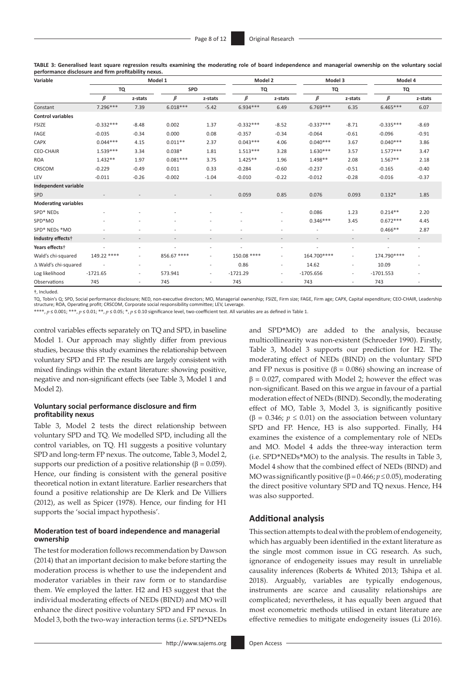**TABLE 3: Generalised least square regression results examining the moderating role of board independence and managerial ownership on the voluntary social performance disclosure and firm profitability nexus.**

| Variable                      |                          | Model 1                  |             | Model 2                  |             | Model 3                  | Model 4      |                          |                          |                          |
|-------------------------------|--------------------------|--------------------------|-------------|--------------------------|-------------|--------------------------|--------------|--------------------------|--------------------------|--------------------------|
|                               | TQ                       |                          | <b>SPD</b>  |                          | TQ          |                          | TQ           |                          | TQ                       |                          |
|                               | β                        | z-stats                  | $\beta$     | z-stats                  | $\beta$     | z-stats                  | $\beta$      | z-stats                  | $\beta$                  | z-stats                  |
| Constant                      | 7.296***                 | 7.39                     | $6.018***$  | $-5.42$                  | $6.934***$  | 6.49                     | $6.769***$   | 6.35                     | $6.465***$               | 6.07                     |
| <b>Control variables</b>      |                          |                          |             |                          |             |                          |              |                          |                          |                          |
| <b>FSIZE</b>                  | $-0.332***$              | $-8.48$                  | 0.002       | 1.37                     | $-0.332***$ | $-8.52$                  | $-0.337***$  | $-8.71$                  | $-0.335***$              | $-8.69$                  |
| FAGE                          | $-0.035$                 | $-0.34$                  | 0.000       | 0.08                     | $-0.357$    | $-0.34$                  | $-0.064$     | $-0.61$                  | $-0.096$                 | $-0.91$                  |
| CAPX                          | $0.044***$               | 4.15                     | $0.011**$   | 2.37                     | $0.043***$  | 4.06                     | $0.040***$   | 3.67                     | $0.040***$               | 3.86                     |
| <b>CEO-CHAIR</b>              | $1.539***$               | 3.34                     | $0.038*$    | 1.81                     | $1.513***$  | 3.28                     | $1.630***$   | 3.57                     | $1.577***$               | 3.47                     |
| <b>ROA</b>                    | $1.432**$                | 1.97                     | $0.081***$  | 3.75                     | $1.425**$   | 1.96                     | 1.498**      | 2.08                     | $1.567**$                | 2.18                     |
| CRSCOM                        | $-0.229$                 | $-0.49$                  | 0.011       | 0.33                     | $-0.284$    | $-0.60$                  | $-0.237$     | $-0.51$                  | $-0.165$                 | $-0.40$                  |
| LEV                           | $-0.011$                 | $-0.26$                  | $-0.002$    | $-1.04$                  | $-0.010$    | $-0.22$                  | $-0.012$     | $-0.28$                  | $-0.016$                 | $-0.37$                  |
| Independent variable          |                          |                          |             |                          |             |                          |              |                          |                          |                          |
| SPD                           |                          |                          |             |                          | 0.059       | 0.85                     | 0.076        | 0.093                    | $0.132*$                 | 1.85                     |
| <b>Moderating variables</b>   |                          |                          |             |                          |             |                          |              |                          |                          |                          |
| SPD* NEDs                     |                          |                          |             |                          |             |                          | 0.086        | 1.23                     | $0.214**$                | 2.20                     |
| SPD*MO                        |                          |                          |             |                          |             |                          | $0.346***$   | 3.45                     | $0.672***$               | 4.45                     |
| SPD* NEDs *MO                 |                          |                          |             |                          |             |                          |              | $\overline{\phantom{a}}$ | $0.466**$                | 2.87                     |
| Industry effects <sup>+</sup> | $\overline{\phantom{a}}$ | $\overline{\phantom{a}}$ |             | $\overline{\phantom{a}}$ |             | $\overline{\phantom{a}}$ |              | $\overline{\phantom{a}}$ | $\overline{\phantom{a}}$ | $\overline{\phantom{a}}$ |
| Years effects <sup>+</sup>    |                          | $\sim$                   |             |                          |             | $\overline{\phantom{a}}$ |              | $\overline{\phantom{a}}$ | ٠                        | ٠                        |
| Wald's chi-squared            | 149.22 ****              | $\sim$                   | 856.67 **** | $\overline{\phantom{a}}$ | 150.08 **** | $\overline{\phantom{a}}$ | 164.700 **** | $\overline{a}$           | 174.790 ****             |                          |
| ∆ Wald's chi-squared          |                          | $\overline{\phantom{a}}$ |             | $\overline{\phantom{a}}$ | 0.86        | $\overline{\phantom{a}}$ | 14.62        | $\overline{a}$           | 10.09                    |                          |
| Log likelihood                | $-1721.65$               | $\overline{\phantom{a}}$ | 573.941     | $\overline{\phantom{a}}$ | $-1721.29$  | $\overline{\phantom{a}}$ | $-1705.656$  | $\overline{\phantom{a}}$ | $-1701.553$              |                          |
| Observations                  | 745                      | $\sim$                   | 745         | $\sim$                   | 745         | $\sim$                   | 743          | $\overline{\phantom{a}}$ | 743                      | $\overline{\phantom{a}}$ |

**†**, Included.

TQ, Tobin's Q; SPD, Social performance disclosure; NED, non-executive directors; MO, Managerial ownership; FSIZE, Firm size; FAGE, Firm age; CAPX, Capital expenditure; CEO-CHAIR, Leadership structure; ROA, Operating profit; CRSCOM, Corporate social responsibility committee; LEV, Leverage.

\*\*\*\*, *p* ≤ 0.001; \*\*\*, *p* ≤ 0.01; \*\*, *p* ≤ 0.05; \*, *p* ≤ 0.10 significance level, two-coefficient test. All variables are as defined in Table 1.

control variables effects separately on TQ and SPD, in baseline Model 1. Our approach may slightly differ from previous studies, because this study examines the relationship between voluntary SPD and FP. The results are largely consistent with mixed findings within the extant literature: showing positive, negative and non-significant effects (see Table 3, Model 1 and Model 2).

#### **Voluntary social performance disclosure and firm profitability nexus**

Table 3, Model 2 tests the direct relationship between voluntary SPD and TQ. We modelled SPD, including all the control variables, on TQ. H1 suggests a positive voluntary SPD and long-term FP nexus. The outcome, Table 3, Model 2, supports our prediction of a positive relationship ( $\beta = 0.059$ ). Hence, our finding is consistent with the general positive theoretical notion in extant literature. Earlier researchers that found a positive relationship are De Klerk and De Villiers (2012), as well as Spicer (1978). Hence, our finding for H1 supports the 'social impact hypothesis'.

#### **Moderation test of board independence and managerial ownership**

The test for moderation follows recommendation by Dawson (2014) that an important decision to make before starting the moderation process is whether to use the independent and moderator variables in their raw form or to standardise them. We employed the latter. H2 and H3 suggest that the individual moderating effects of NEDs (BIND) and MO will enhance the direct positive voluntary SPD and FP nexus. In Model 3, both the two-way interaction terms (i.e. SPD\*NEDs

<http://www.sajems.org> Open Access

and SPD\*MO) are added to the analysis, because multicollinearity was non-existent (Schroeder 1990). Firstly, Table 3, Model 3 supports our prediction for H2. The moderating effect of NEDs (BIND) on the voluntary SPD and FP nexus is positive (β = 0.086) showing an increase of  $β = 0.027$ , compared with Model 2; however the effect was non-significant. Based on this we argue in favour of a partial moderation effect of NEDs (BIND). Secondly, the moderating effect of MO, Table 3, Model 3, is significantly positive ( $\beta$  = 0.346;  $p \le 0.01$ ) on the association between voluntary SPD and FP. Hence, H3 is also supported. Finally, H4 examines the existence of a complementary role of NEDs and MO. Model 4 adds the three-way interaction term (i.e. SPD\*NEDs\*MO) to the analysis. The results in Table 3, Model 4 show that the combined effect of NEDs (BIND) and MO was significantly positive (β = 0.466; *p* ≤ 0.05), moderating the direct positive voluntary SPD and TQ nexus. Hence, H4 was also supported.

### **Additional analysis**

This section attempts to deal with the problem of endogeneity, which has arguably been identified in the extant literature as the single most common issue in CG research. As such, ignorance of endogeneity issues may result in unreliable causality inferences (Roberts & Whited 2013; Tshipa et al. 2018). Arguably, variables are typically endogenous, instruments are scarce and causality relationships are complicated; nevertheless, it has equally been argued that most econometric methods utilised in extant literature are effective remedies to mitigate endogeneity issues (Li 2016).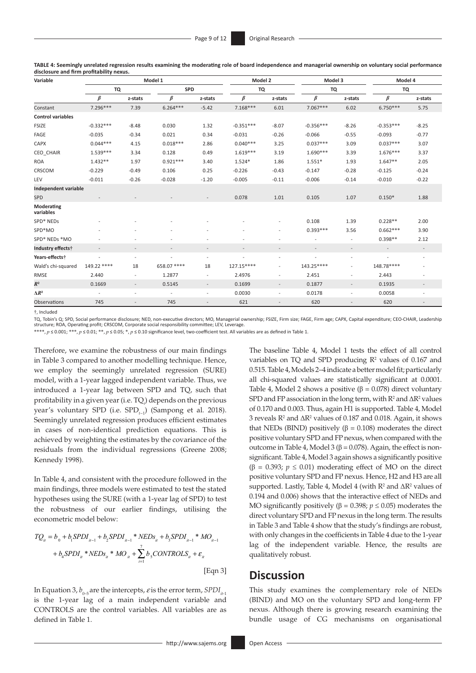**TABLE 4: Seemingly unrelated regression results examining the moderating role of board independence and managerial ownership on voluntary social performance disclosure and firm profitability nexus.**

| Variable                 |                          |                          | Model 1                  |                          | Model 2                  |                          | Model 3                  |                          | Model 4                  |                          |  |
|--------------------------|--------------------------|--------------------------|--------------------------|--------------------------|--------------------------|--------------------------|--------------------------|--------------------------|--------------------------|--------------------------|--|
|                          | TQ                       |                          | <b>SPD</b>               |                          | <b>TQ</b>                |                          | TQ                       |                          | TQ                       |                          |  |
|                          | $\beta$                  | z-stats                  | $\beta$                  | z-stats                  | $\beta$                  | z-stats                  | $\beta$                  | z-stats                  | $\beta$                  | z-stats                  |  |
| Constant                 | 7.296***                 | 7.39                     | $6.264***$               | $-5.42$                  | $7.168***$               | 6.01                     | $7.067***$               | 6.02                     | $6.750***$               | 5.75                     |  |
| <b>Control variables</b> |                          |                          |                          |                          |                          |                          |                          |                          |                          |                          |  |
| <b>FSIZE</b>             | $-0.332***$              | $-8.48$                  | 0.030                    | 1.32                     | $-0.351***$              | $-8.07$                  | $-0.356***$              | $-8.26$                  | $-0.353***$              | $-8.25$                  |  |
| FAGE                     | $-0.035$                 | $-0.34$                  | 0.021                    | 0.34                     | $-0.031$                 | $-0.26$                  | $-0.066$                 | $-0.55$                  | $-0.093$                 | $-0.77$                  |  |
| <b>CAPX</b>              | $0.044***$               | 4.15                     | $0.018***$               | 2.86                     | $0.040***$               | 3.25                     | $0.037***$               | 3.09                     | $0.037***$               | 3.07                     |  |
| CEO_CHAIR                | $1.539***$               | 3.34                     | 0.128                    | 0.49                     | $1.619***$               | 3.19                     | 1.690***                 | 3.39                     | $1.676***$               | 3.37                     |  |
| <b>ROA</b>               | $1.432**$                | 1.97                     | $0.921***$               | 3.40                     | $1.524*$                 | 1.86                     | $1.551*$                 | 1.93                     | $1.647**$                | 2.05                     |  |
| CRSCOM                   | $-0.229$                 | $-0.49$                  | 0.106                    | 0.25                     | $-0.226$                 | $-0.43$                  | $-0.147$                 | $-0.28$                  | $-0.125$                 | $-0.24$                  |  |
| LEV                      | $-0.011$                 | $-0.26$                  | $-0.028$                 | $-1.20$                  | $-0.005$                 | $-0.11$                  | $-0.006$                 | $-0.14$                  | $-0.010$                 | $-0.22$                  |  |
| Independent variable     |                          |                          |                          |                          |                          |                          |                          |                          |                          |                          |  |
| <b>SPD</b>               |                          |                          |                          |                          | 0.078                    | 1.01                     | 0.105                    | 1.07                     | $0.150*$                 | 1.88                     |  |
| Moderating<br>variables  |                          |                          |                          |                          |                          |                          |                          |                          |                          |                          |  |
| SPD* NEDs                |                          |                          |                          |                          |                          | ٠                        | 0.108                    | 1.39                     | $0.228**$                | 2.00                     |  |
| SPD*MO                   |                          |                          |                          |                          |                          | ٠                        | $0.393***$               | 3.56                     | $0.662***$               | 3.90                     |  |
| SPD* NEDs *MO            |                          |                          |                          |                          |                          |                          |                          | $\overline{\phantom{a}}$ | $0.398**$                | 2.12                     |  |
| Industry effects†        | $\overline{a}$           | $\overline{\phantom{a}}$ | $\overline{\phantom{a}}$ | ÷                        | $\overline{\phantom{a}}$ | $\overline{\phantom{a}}$ | $\overline{a}$           | $\overline{\phantom{a}}$ | $\overline{\phantom{a}}$ | $\overline{\phantom{a}}$ |  |
| Years-effects†           | $\overline{\phantom{a}}$ | $\overline{a}$           | $\overline{a}$           |                          | $\overline{\phantom{a}}$ | $\overline{\phantom{0}}$ | $\overline{\phantom{a}}$ | $\overline{\phantom{0}}$ | $\overline{\phantom{a}}$ | $\overline{\phantom{a}}$ |  |
| Wald's chi-squared       | 149.22 ****              | 18                       | 658.07 ****              | 18                       | 127.15****               |                          | 143.25****               | $\overline{\phantom{0}}$ | 148.78****               |                          |  |
| RMSE                     | 2.440                    | $\overline{\phantom{a}}$ | 1.2877                   | $\overline{\phantom{a}}$ | 2.4976                   | ٠                        | 2.451                    | $\overline{\phantom{0}}$ | 2.443                    | $\overline{\phantom{a}}$ |  |
| $R^2$                    | 0.1669                   | $\overline{\phantom{a}}$ | 0.5145                   |                          | 0.1699                   | $\overline{a}$           | 0.1877                   | $\overline{\phantom{a}}$ | 0.1935                   | ÷                        |  |
| $\Delta R^2$             | $\overline{\phantom{a}}$ | $\overline{\phantom{a}}$ | ÷                        | $\overline{\phantom{a}}$ | 0.0030                   | $\overline{\phantom{a}}$ | 0.0178                   | $\overline{\phantom{a}}$ | 0.0058                   | $\overline{\phantom{a}}$ |  |
| <b>Observations</b>      | 745                      |                          | 745                      |                          | 621                      | $\overline{\phantom{a}}$ | 620                      | $\overline{\phantom{m}}$ | 620                      |                          |  |

†, Included

TQ, Tobin's Q; SPD, Social performance disclosure; NED, non-executive directors; MO, Managerial ownership; FSIZE, Firm size; FAGE, Firm age; CAPX, Capital expenditure; CEO-CHAIR, Leadership structure; ROA, Operating profit; CRSCOM, Corporate social responsibility committee; LEV, Leverage.

\*\*\*\*, *p* ≤ 0.001; \*\*\*, *p* ≤ 0.01; \*\*, *p* ≤ 0.05; \*, *p* ≤ 0.10 significance level, two-coefficient test. All variables are as defined in Table 1.

Therefore, we examine the robustness of our main findings in Table 3 compared to another modelling technique. Hence, we employ the seemingly unrelated regression (SURE) model, with a 1-year lagged independent variable. Thus, we introduced a 1-year lag between SPD and TQ, such that profitability in a given year (i.e. TQ*<sup>t</sup>* ) depends on the previous year's voluntary SPD (i.e. SPD<sub>*t*−1</sub>) (Sampong et al. 2018). Seemingly unrelated regression produces efficient estimates in cases of non-identical prediction equations. This is achieved by weighting the estimates by the covariance of the residuals from the individual regressions (Greene 2008; Kennedy 1998).

In Table 4, and consistent with the procedure followed in the main findings, three models were estimated to test the stated hypotheses using the SURE (with a 1-year lag of SPD) to test the robustness of our earlier findings, utilising the econometric model below:

$$
TQ_{ii} = b_0 + b_1 SPDI_{u-1} + b_2 SPDI_{u-1} * NEDs_{ii} + b_3 SPDI_{u-1} * MO_{u-1}
$$
  
+  $b_4 SPDI_{ii} * NEDs_{ii} * MO_{ii} + \sum_{i=1}^{7} b_5 CONTROLS_{ii} + \varepsilon_{ii}$   
[Eqn 3]

In Equation 3,  $b_{0.5}$  are the intercepts,  $\varepsilon$  is the error term, *SPDI*<sub> $i_{t-1}$ </sub> is the 1-year lag of a main independent variable and CONTROLS are the control variables. All variables are as defined in Table 1.

The baseline Table 4, Model 1 tests the effect of all control variables on TQ and SPD producing  $\mathbb{R}^2$  values of 0.167 and 0.515. Table 4, Models 2–4 indicate a better model fit; particularly all chi-squared values are statistically significant at 0.0001. Table 4, Model 2 shows a positive ( $\beta$  = 0.078) direct voluntary SPD and FP association in the long term, with  $R^2$  and  $\Delta R^2$  values of 0.170 and 0.003. Thus, again H1 is supported. Table 4, Model 3 reveals  $R^2$  and  $\Delta R^2$  values of 0.187 and 0.018. Again, it shows that NEDs (BIND) positively ( $β = 0.108$ ) moderates the direct positive voluntary SPD and FP nexus, when compared with the outcome in Table 4, Model 3 (β = 0.078). Again, the effect is nonsignificant. Table 4, Model 3 again shows a significantly positive ( $\beta$  = 0.393;  $p \le 0.01$ ) moderating effect of MO on the direct positive voluntary SPD and FP nexus. Hence, H2 and H3 are all supported. Lastly, Table 4, Model 4 (with  $R^2$  and  $\Delta R^2$  values of 0.194 and 0.006) shows that the interactive effect of NEDs and MO significantly positively ( $\beta$  = 0.398;  $p \le 0.05$ ) moderates the direct voluntary SPD and FP nexus in the long term. The results in Table 3 and Table 4 show that the study's findings are robust, with only changes in the coefficients in Table 4 due to the 1-year lag of the independent variable. Hence, the results are qualitatively robust.

# **Discussion**

This study examines the complementary role of NEDs (BIND) and MO on the voluntary SPD and long-term FP nexus. Although there is growing research examining the bundle usage of CG mechanisms on organisational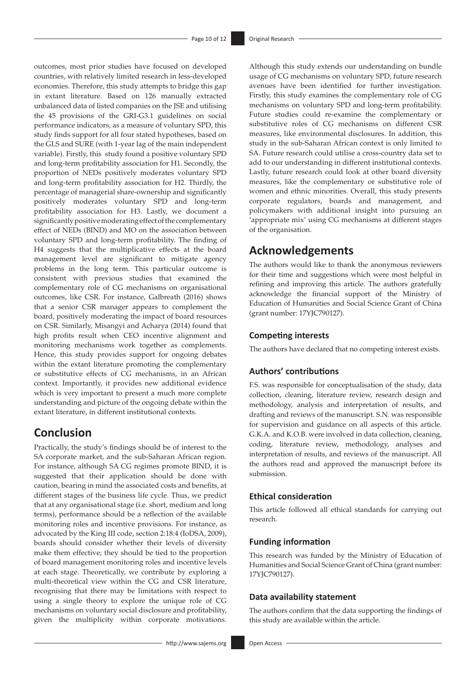outcomes, most prior studies have focused on developed countries, with relatively limited research in less-developed economies. Therefore, this study attempts to bridge this gap in extant literature. Based on 126 manually extracted unbalanced data of listed companies on the JSE and utilising the 45 provisions of the GRI-G3.1 guidelines on social performance indicators, as a measure of voluntary SPD, this study finds support for all four stated hypotheses, based on the GLS and SURE (with 1-year lag of the main independent variable). Firstly, this study found a positive voluntary SPD and long-term profitability association for H1. Secondly, the proportion of NEDs positively moderates voluntary SPD and long-term profitability association for H2. Thirdly, the percentage of managerial share-ownership and significantly positively moderates voluntary SPD and long-term profitability association for H3. Lastly, we document a significantly positive moderating effect of the complementary effect of NEDs (BIND) and MO on the association between voluntary SPD and long-term profitability. The finding of H4 suggests that the multiplicative effects at the board management level are significant to mitigate agency problems in the long term. This particular outcome is consistent with previous studies that examined the complementary role of CG mechanisms on organisational outcomes, like CSR. For instance, Galbreath (2016) shows that a senior CSR manager appears to complement the board, positively moderating the impact of board resources on CSR. Similarly, Misangyi and Acharya (2014) found that high profits result when CEO incentive alignment and monitoring mechanisms work together as complements. Hence, this study provides support for ongoing debates within the extant literature promoting the complementary or substitutive effects of CG mechanisms, in an African context. Importantly, it provides new additional evidence which is very important to present a much more complete understanding and picture of the ongoing debate within the extant literature, in different institutional contexts.

# **Conclusion**

Practically, the study's findings should be of interest to the SA corporate market, and the sub-Saharan African region. For instance, although SA CG regimes promote BIND, it is suggested that their application should be done with caution, bearing in mind the associated costs and benefits, at different stages of the business life cycle. Thus, we predict that at any organisational stage (i.e. short, medium and long terms), performance should be a reflection of the available monitoring roles and incentive provisions. For instance, as advocated by the King III code, section 2:18:4 (IoDSA, 2009), boards should consider whether their levels of diversity make them effective; they should be tied to the proportion of board management monitoring roles and incentive levels at each stage. Theoretically, we contribute by exploring a multi-theoretical view within the CG and CSR literature, recognising that there may be limitations with respect to using a single theory to explore the unique role of CG mechanisms on voluntary social disclosure and profitability, given the multiplicity within corporate motivations.

Although this study extends our understanding on bundle usage of CG mechanisms on voluntary SPD, future research avenues have been identified for further investigation. Firstly, this study examines the complementary role of CG mechanisms on voluntary SPD and long-term profitability. Future studies could re-examine the complementary or substitutive roles of CG mechanisms on different CSR measures, like environmental disclosures. In addition, this study in the sub-Saharan African context is only limited to SA. Future research could utilise a cross-country data set to add to our understanding in different institutional contexts. Lastly, future research could look at other board diversity measures, like the complementary or substitutive role of women and ethnic minorities. Overall, this study presents corporate regulators, boards and management, and policymakers with additional insight into pursuing an 'appropriate mix' using CG mechanisms at different stages of the organisation.

# **Acknowledgements**

The authors would like to thank the anonymous reviewers for their time and suggestions which were most helpful in refining and improving this article. The authors gratefully acknowledge the financial support of the Ministry of Education of Humanities and Social Science Grant of China (grant number: 17YJC790127).

# **Competing interests**

The authors have declared that no competing interest exists.

## **Authors' contributions**

F.S. was responsible for conceptualisation of the study, data collection, cleaning, literature review, research design and methodology, analysis and interpretation of results, and drafting and reviews of the manuscript. S.N. was responsible for supervision and guidance on all aspects of this article. G.K.A. and K.O.B. were involved in data collection, cleaning, coding, literature review, methodology, analyses and interpretation of results, and reviews of the manuscript. All the authors read and approved the manuscript before its submission.

# **Ethical consideration**

This article followed all ethical standards for carrying out research.

### **Funding information**

This research was funded by the Ministry of Education of Humanities and Social Science Grant of China (grant number: 17YJC790127).

### **Data availability statement**

The authors confirm that the data supporting the findings of this study are available within the article.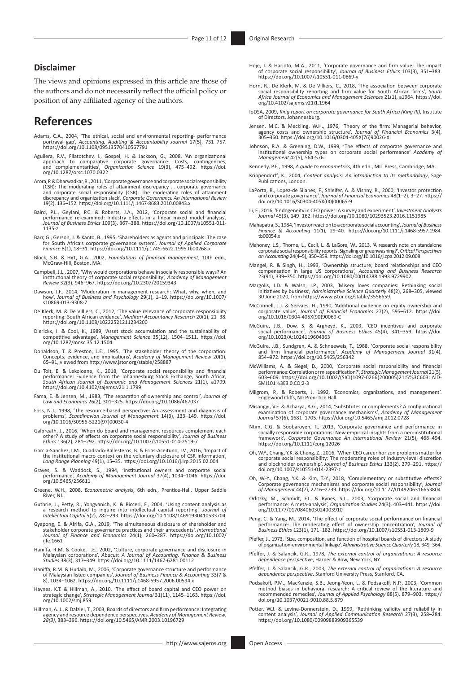#### **Disclaimer**

The views and opinions expressed in this article are those of the authors and do not necessarily reflect the official policy or position of any affiliated agency of the authors.

# **References**

- Adams, C.A., 2004, 'The ethical, social and environmental reporting- performance portrayal gap', *Accounting, Auditing & Accountability Journal* 17(5), 731–757. <https://doi.org/10.1108/09513570410567791>
- Aguilera, R.V., Filatotchev, I., Gospel, H. & Jackson, G., 2008, 'An organizational<br>approach to comparative corporate governance: Costs, contingencies,<br>and complementarities', Organization Science 19(3), 475–492. https://d
- Arora, P. & Dharwadkar, R., 2011, 'Corporate governance and corporate social responsibility (CSR): The moderating roles of attainment discrepancy ... corporate governance and corporate social responsibility (CSR): The mode 19(2), 136–152. <https://doi.org/10.1111/j.1467-8683.2010.00843.x>
- Baird, P.L., Geylani, P.C. & Roberts, J.A., 2012, 'Corporate social and financial<br>performance re-examined: Industry effects in a linear mixed model analysis',<br>-Journal of Business Ethics 109(3), 367-388. https://doi.org/10 [1135-z](https://doi.org/10.1007/s10551-011-1135-z)
- Barr, G., Gerson, J. & Kanto, B., 1995, 'Shareholders as agents and principals: The case for South Africa's corporate governance system', *Journal of Applied Corporate Finance* 8(1), 18–31. <https://doi.org/10.1111/j.1745-6622.1995.tb00268.x>
- Block, S.B. & Hirt, G.A., 2002, *Foundations of financial management*, 10th edn., McGraw-Hill, Boston, MA.
- Campbell, J.L., 2007, 'Why would corporations behave in socially responsible ways? An<br>institutional theory of corporate social responsibility', Academy of Management<br>Review 32(3), 946–967. <https://doi.org/10.2307/20159343>
- Dawson, J.F., 2014, 'Moderation in management research: What, why, when, and how', *Journal of Business and Psychology* 29(1), 1–19. [https://doi.org/10.1007/](https://doi.org/10.1007/s10869-013-9308-7) [s10869-013-9308-7](https://doi.org/10.1007/s10869-013-9308-7)
- De Klerk, M. & De Villiers, C., 2012, 'The value relevance of corporate responsibility reporting: South African evidence', *Meditari Accountancy Research* 20(1), 21–38. <https://doi.org/10.1108/10222521211234200>
- Dierickx, I. & Cool, K., 1989, 'Asset stock accumulation and the sustainability of competitive advantage, *Management Science* 35(12), 1504–1511. [https://doi.](https://doi.org/10.1287/mnsc.35.12.1504)<br>[org/10.1287/mnsc.35.12.1504](https://doi.org/10.1287/mnsc.35.12.1504)
- Donaldson, T. & Preston, L.E., 1995, 'The stakeholder theory of the corporation: Concepts, evidence, and implications', *Academy of Management Review* 20(1), 65–91, viewed from<http://www.jstor.org/stable/258887>
- Du Toit, E. & Lekoloane, K., 2018, 'Corporate social responsibility and financial performance: Evidence from the Johannesburg Stock Exchange, South Africa', *South African Journal of Economic and Management Sciences* 21(1), a1799. <https://doi.org/10.4102/sajems.v21i1.1799>
- Fama, E. & Jensen, M., 1983, 'The separation of ownership and control', *Journal of Law and Economics* 26(2), 301–325.<https://doi.org/10.1086/467037>
- Foss, N.J., 1998, 'The resource-based perspective: An assessment and diagnosis of problems', *Scandinavian Journal of Management* 14(3), 133–149. [https://doi.](https://doi.org/10.1016/S0956-5221(97)00030-4) [org/10.1016/S0956-5221\(97\)00030-4](https://doi.org/10.1016/S0956-5221(97)00030-4)
- Galbreath, J., 2016, 'When do board and management resources complement each other? A study of effects on corporate social responsibility', *Journal of Business Ethics* 136(2), 281–292. <https://doi.org/10.1007/s10551-014-2519-7>
- Garcia-Sanchez, I.M., Cuadrado-Ballesteros, B. & Frias-Aceituno, J.V., 2016, 'Impact of the institutional macro context on the voluntary disclosure of CSR information', *Long Range Planning* 49(1), 15–35.<https://doi.org/10.1016/j.lrp.2015.02.004>
- Graves, S. & Waddock, S., 1994, 'Institutional owners and corporate social performance', *Academy of Management Journal* 37(4), 1034–1046. [https://doi.](https://doi.org/10.5465/256611) [org/10.5465/256611](https://doi.org/10.5465/256611)
- Greene, W.H., 2008, *Econometric analysis*, 6th edn., Prentice-Hall, Upper Saddle River, NJ.
- Guthrie, J., Petty, R., Yongvanich, K. & Ricceri, F., 2004, 'Using content analysis as a research method to inquire into intellectual capital reporting', *Journal of Intellectual Capital* 5(2), 282–293.<https://doi.org/10.1108/14691930410533704>
- Gyapong, E. & Afrifa, G.A., 2019, 'The simultaneous disclosure of shareholder and stakeholder corporate governance practices and their antecedents', *International Journal of Finance and Economics* 24(1), 260–287. [https://doi.org/10.1002/](https://doi.org/10.1002/ijfe.1661) iife.1661
- Haniffa, R.M. & Cooke, T.E., 2002, 'Culture, corporate governance and disclosure in Malaysian corporations', *Abacus: A Journal of Accounting, Finance & Business Studies* 38(3), 317–349.<https://doi.org/10.1111/1467-6281.00112>
- Haniffa, R.M. & Hudaib, M., 2006, 'Corporate governance structure and performance of Malaysian listed companies', *Journal of Business Finance & Accounting* 33(7 & 8), 1034–1062.<https://doi.org/10.1111/j.1468-5957.2006.00594.x>
- Haynes, K.T. & Hillman, A., 2010, 'The effect of board capital and CEO power on strategic change', *Strategic Management Journal* 31(11), 1145–1163. [https://doi.](https://doi.org/10.1002/smj.859) [org/10.1002/smj.859](https://doi.org/10.1002/smj.859)
- Hillman, A. J., & Dalziel, T., 2003, Boards of directors and firm performance: Integrating<br>agency and resource dependence perspectives. *Academy of Management Review,*<br>28(3), 383–396. https://doi.org/10.5465/AMR.2003.10196
- Hoje, J. & Harjoto, M.A., 2011, 'Corporate governance and firm value: The impact of corporate social responsibility', *Journal of Business Ethics* 103(3), 351–383. <https://doi.org/10.1007/s10551-011-0869-y>
- Horn, R., De Klerk, M. & De Villiers, C., 2018, 'The association between corporate<br>social responsibility reporting and firm value for South African firms', South<br>Africa Journal of Economics and Management Sciences 21(1), a [org/10.4102/sajems.v21i1.1964](https://doi.org/10.4102/sajems.v21i1.1964)
- IoDSA, 2009, *King report on corporate governance for South Africa (King III)*, Institute of Directors, Johannesburg.
- Jensen, M.C. & Meckling, W.H., 1976, 'Theory of the firm: Managerial behavior, agency costs and ownership structure', *Journal of Financial Economics* 3(4), 305–360. [https://doi.org/10.1016/0304-405X\(76\)90026-X](https://doi.org/10.1016/0304-405X(76)90026-X)
- Johnson, R.A. & Greening, D.W., 1999, 'The effects of corporate governance and institutional ownership types on corporate social performance' *Academy of Management* 42(5), 564-576.
- Kennedy, P.E., 1998, *A guide to econometrics*, 4th edn., MIT Press, Cambridge, MA.
- Krippendorff, K., 2004, *Content analysis: An introduction to its methodology*, Sage Publications, London.
- LaPorta, R., Lopez-de Silanes, F., Shleifer, A. & Vishny, R., 2000, 'Investor protection and corporate governance', *Journal of Financial Economics* 48(1–2), 3–27. [https://](https://doi.org/10.1016/S0304-405X(00)00065-9) [doi.org/10.1016/S0304-405X\(00\)00065-9](https://doi.org/10.1016/S0304-405X(00)00065-9)
- Li, F., 2016, 'Endogeneity in CEO power: A survey and experiment', *Investment Analysts Journal* 45(3), 149–162. <https://doi.org/10.1080/10293523.2016.1151985>
- Mahapatra, S., 1984, 'Investor reaction to a corporate social accounting', *Journal of Business Finance & Accounting* 11(1), 29–40. [https://doi.org/10.1111/j.1468-5957.1984.](https://doi.org/10.1111/j.1468-5957.1984.tb00054.x) [tb00054.x](https://doi.org/10.1111/j.1468-5957.1984.tb00054.x)
- Mahoney, L.S., Thorne, L., Cecil, L. & LaGore, W., 2013, 'A research note on standalone corporate social responsibility reports: Signaling or greenwashing?', *Critical Perspectives on Accounting* 24(4–5), 350–359.<https://doi.org/10.1016/j.cpa.2012.09.008>
- Mangel, R. & Singh, H., 1993, 'Ownership structure, board relationships and CEO compensation in large US corporations', *Accounting and Business Research* 23(91), 339–350.<https://doi.org/10.1080/00014788.1993.9729902>
- Margolis, J.D. & Walsh, J.P., 2003, 'Misery loves companies: Rethinking social<br>initiatives by business', Administrative Science Quarterly 48(2), 268–305, viewed<br>30 June 2020, from [https://www.jstor.org/stable/3556659.](https://www.jstor.org/stable/3556659)
- McConnell, J.J. & Servaes, H., 1990, 'Additional evidence on equity ownership and corporate value', *Journal of Financial Economics* 27(2), 595–612. [https://doi.](https://doi.org/10.1016/0304-405X(90)90069-C) [org/10.1016/0304-405X\(90\)90069-C](https://doi.org/10.1016/0304-405X(90)90069-C)
- McGuire, J.B., Dow, S. & Argheyd, K., 2003, 'CEO incentives and corporate social performance', *Journal of Business Ethics* 45(4), 341–359. [https://doi.](https://doi.org/10.1023/A:1024119604363) [org/10.1023/A:1024119604363](https://doi.org/10.1023/A:1024119604363)
- McGuire, J.B., Sundgren, A. & Schneeweis, T., 1988, 'Corporate social responsibility<br>and firm financial performance', *Academy of Management Journal* 31(4),<br>854–972.<https://doi.org/10.5465/256342>
- McWilliams, A. & Siegel, D., 2000, 'Corporate social responsibility and financial performance: Correlation or misspecification?', *Strategic Management Journal* 21(5), 603–609.[https://doi.org/10.1002/\(SICI\)1097-0266\(200005\)21:5](https://doi.org/10.1002/(SICI)1097-0266(200005)21:5%3C603::AID-SMJ101%3E3.0.CO;2-3Milgrom)%3C603::AID-SMJ101%[3E3.0.CO;2-3](https://doi.org/10.1002/(SICI)1097-0266(200005)21:5%3C603::AID-SMJ101%3E3.0.CO;2-3Milgrom)
- [Milgrom](https://doi.org/10.1002/(SICI)1097-0266(200005)21:5%3C603::AID-SMJ101%3E3.0.CO;2-3Milgrom), P., & Roberts, J. 1992, 'Economics, organizations, and management'. Englewood Cliffs, NJ: Pren- tice Hall.
- Misangyi, V.F. & Acharya, A.G., 2014, 'Substitutes or complements? A configurational examination of corporate governance mechanisms', *Academy of Management Journal* 57(6), 1681–1705. <https://doi.org/10.5465/amj.2012.0728>
- Ntim, C.G. & Soobaroyen, T., 2013, 'Corporate governance and performance in<br>socially responsible corporations: New empirical insights from a neo-institutional<br>framework', Corporate Governance An International Review 21(5), <https://doi.org/10.1111/corg.12026>
- Oh, W.Y., Chang, Y.K. & Cheng, Z., 2016, 'When CEO career horizon problems matter for<br>corporate social responsibility: The moderating roles of industry-level discretion<br>and blockholder ownership', Journal of Business Ethic [doi.org/10.1007/s10551-014-2397-z](https://doi.org/10.1007/s10551-014-2397-z)
- Oh, W.-Y., Chang, Y.K. & Kim, T.-Y., 2018, 'Complementary or substitutive effects?<br>Corporate governance mechanisms and corporate social responsibility, Journal<br>of Management 44(7), 2716–2739. https://doi.org/10.1177/014920
- Orlitzky, M., Schmidt, F.L. & Rynes, S.L., 2003, 'Corporate social and financial performance: A meta-analysis', *Organization Studies* 24(3), 403–441. [https://doi.](https://doi.org/10.1177/0170840603024003910) [org/10.1177/0170840603024003910](https://doi.org/10.1177/0170840603024003910)
- Peng, C. & Yang, M., 2014, 'The effect of corporate social performance on financial<br>performance: The moderating effect of ownership concentration', Journal of<br>Business Ethics 123(1), 171-182. https://doi.org/10.1007/s10551
- Pfeffer, J., 1973, 'Size, composition, and function of hospital boards of directors: A study of organization-environmental linkage', *Administrative Science Quarterly* 18, 349–364.
- Pfeffer, J. & Salancik, G.R., 1978, *The external control of organizations: A resource dependence perspective*, Harper & Row, New York, NY.
- Pfeffer, J. & Salancik, G.R., 2003, *The external control of organizations: A resource dependence perspective*, Stanford University Press, Stanford, CA.
- Podsakoff, P.M., MacKenzie, S.B., Jeong-Yeon, L. & Podsakoff, N.P., 2003, 'Common method biases in behavioral research: A critical review of the literature and recommended remedies', *Journal of Applied Psychology* 88(5), 879–903. [https://](https://doi.org/10.1037/0021-9010.88.5.879) [doi.org/10.1037/0021-9010.88.5.879](https://doi.org/10.1037/0021-9010.88.5.879)
- Potter, W.J. & Levine-Donnerstein, D., 1999, 'Rethinking validity and reliability in content analysis', *Journal of Applied Communication Research* 27(3), 258–284. <https://doi.org/10.1080/00909889909365539>